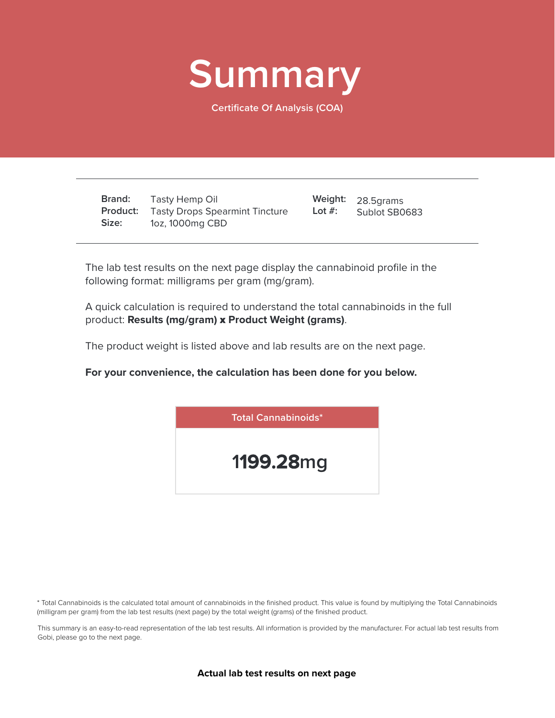

**Certificate Of Analysis (COA)**

**Brand: Product:** Tasty Drops Spearmint Tincture **Size:** Tasty Hemp Oil 1oz, 1000mg CBD

28.5grams **Weight:** Sublot SB0683 **Lot #:**

The lab test results on the next page display the cannabinoid profile in the following format: milligrams per gram (mg/gram).

A quick calculation is required to understand the total cannabinoids in the full product: **Results (mg/gram)** x **Product Weight (grams)**.

The product weight is listed above and lab results are on the next page.

**For your convenience, the calculation has been done for you below.**



\* Total Cannabinoids is the calculated total amount of cannabinoids in the finished product. This value is found by multiplying the Total Cannabinoids (milligram per gram) from the lab test results (next page) by the total weight (grams) of the finished product.

This summary is an easy-to-read representation of the lab test results. All information is provided by the manufacturer. For actual lab test results from Gobi, please go to the next page.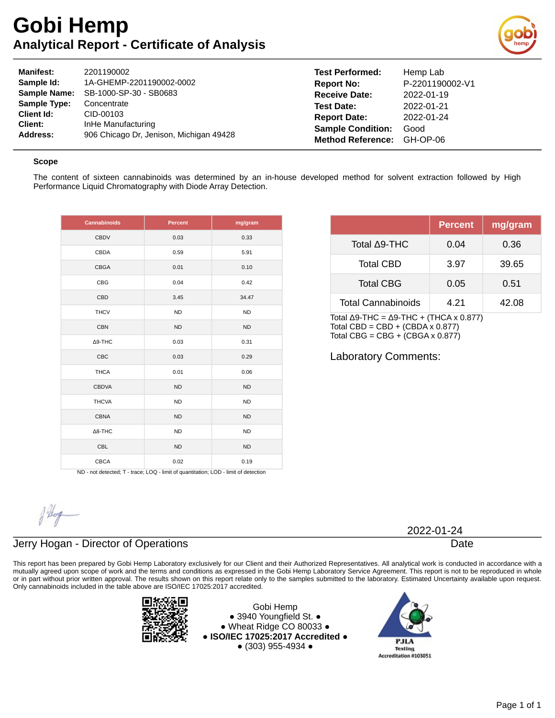# **Gobi Hemp Analytical Report - Certificate of Analysis**



| <b>Manifest:</b>    | 2201190002                              | <b>Test Performed:</b>   | Hemp Lab        |
|---------------------|-----------------------------------------|--------------------------|-----------------|
| Sample Id:          | 1A-GHEMP-2201190002-0002                | <b>Report No:</b>        | P-2201190002-V1 |
| <b>Sample Name:</b> | SB-1000-SP-30 - SB0683                  | <b>Receive Date:</b>     | 2022-01-19      |
| Sample Type:        | Concentrate                             | <b>Test Date:</b>        | 2022-01-21      |
| Client Id:          | CID-00103                               | <b>Report Date:</b>      | 2022-01-24      |
| Client:             | InHe Manufacturing                      | <b>Sample Condition:</b> | Good            |
| Address:            | 906 Chicago Dr. Jenison, Michigan 49428 | <b>Method Reference:</b> | GH-OP-06        |

#### **Scope**

The content of sixteen cannabinoids was determined by an in-house developed method for solvent extraction followed by High Performance Liquid Chromatography with Diode Array Detection.

| <b>Cannabinoids</b> | <b>Percent</b> | mg/gram   |
|---------------------|----------------|-----------|
| <b>CBDV</b>         | 0.03           | 0.33      |
| CBDA                | 0.59           | 5.91      |
| <b>CBGA</b>         | 0.01           | 0.10      |
| CBG                 | 0.04           | 0.42      |
| CBD                 | 3.45           | 34.47     |
| <b>THCV</b>         | <b>ND</b>      | <b>ND</b> |
| <b>CBN</b>          | <b>ND</b>      | <b>ND</b> |
| $\Delta$ 9-THC      | 0.03           | 0.31      |
| CBC                 | 0.03           | 0.29      |
| <b>THCA</b>         | 0.01           | 0.06      |
| <b>CBDVA</b>        | <b>ND</b>      | <b>ND</b> |
| <b>THCVA</b>        | <b>ND</b>      | <b>ND</b> |
| <b>CBNA</b>         | <b>ND</b>      | <b>ND</b> |
| $\Delta$ 8-THC      | <b>ND</b>      | <b>ND</b> |
| CBL                 | <b>ND</b>      | <b>ND</b> |
| <b>CBCA</b>         | 0.02           | 0.19      |

|                           | <b>Percent</b> | mg/gram |
|---------------------------|----------------|---------|
| Total ∆9-THC              | 0.04           | 0.36    |
| <b>Total CBD</b>          | 3.97           | 39.65   |
| <b>Total CBG</b>          | 0.05           | 0.51    |
| <b>Total Cannabinoids</b> | 4.21           | 42.08   |

Total Δ9-THC =  $Δ9-THC + (THCA × 0.877)$ Total CBD = CBD +  $(CBDA \times 0.877)$ Total CBG =  $CBG + (CBGA \times 0.877)$ 

Laboratory Comments:

ND - not detected; T - trace; LOQ - limit of quantitation; LOD - limit of detection

### Jerry Hogan - Director of Operations

This report has been prepared by Gobi Hemp Laboratory exclusively for our Client and their Authorized Representatives. All analytical work is conducted in accordance with a mutually agreed upon scope of work and the terms and conditions as expressed in the Gobi Hemp Laboratory Service Agreement. This report is not to be reproduced in whole or in part without prior written approval. The results shown on this report relate only to the samples submitted to the laboratory. Estimated Uncertainty available upon request. Only cannabinoids included in the table above are ISO/IEC 17025:2017 accredited.



Gobi Hemp ● 3940 Youngfield St. ● ● Wheat Ridge CO 80033 ● **● ISO/IEC 17025:2017 Accredited ●** ● (303) 955-4934 ●



2022-01-24

Date